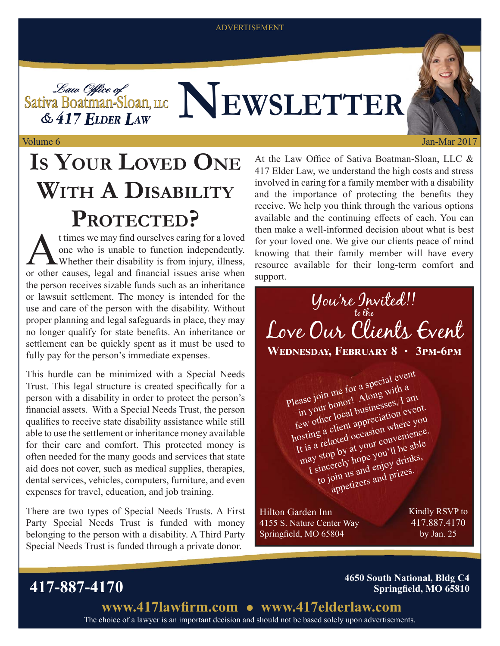ADVERTISEMENT

**NEWSLETTER**

& 417 ELDER LAW Volume 6

## **IS YOUR LOVED ONE WITH A DISABILITY PROTECTED?**

t times we may find ourselves caring for a loved one who is unable to function independently. Whether their disability is from injury, illness, or other causes, legal and financial issues arise when the person receives sizable funds such as an inheritance or lawsuit settlement. The money is intended for the use and care of the person with the disability. Without proper planning and legal safeguards in place, they may no longer qualify for state benefits. An inheritance or settlement can be quickly spent as it must be used to fully pay for the person's immediate expenses.

This hurdle can be minimized with a Special Needs Trust. This legal structure is created specifically for a person with a disability in order to protect the person's financial assets. With a Special Needs Trust, the person qualifies to receive state disability assistance while still able to use the settlement or inheritance money available for their care and comfort. This protected money is often needed for the many goods and services that state aid does not cover, such as medical supplies, therapies, dental services, vehicles, computers, furniture, and even expenses for travel, education, and job training.

There are two types of Special Needs Trusts. A First Party Special Needs Trust is funded with money belonging to the person with a disability. A Third Party Special Needs Trust is funded through a private donor.

At the Law Office of Sativa Boatman-Sloan, LLC  $\&$ 417 Elder Law, we understand the high costs and stress involved in caring for a family member with a disability and the importance of protecting the benefits they receive. We help you think through the various options available and the continuing effects of each. You can then make a well-informed decision about what is best for your loved one. We give our clients peace of mind knowing that their family member will have every resource available for their long-term comfort and support.



Please join me for a special event in your honor! Along with a few other local businesses, I am hosting a client appreciation event. It is a relaxed occasion where you may stop by at your convenience. I sincerely hope you'll be able to join us and enjoy drinks, appetizers and prizes.

Hilton Garden Inn 4155 S. Nature Center Way Springfield, MO 65804

Kindly RSVP to 417.887.4170 by Jan. 25

Jan-Mar 2017

**417-887-4170 4650 South National, Bldg C4 Springfield, MO 65810** 

> The choice of a lawyer is an important decision and should not be based solely upon advertisements. www.417lawfirm.com • www.417elderlaw.com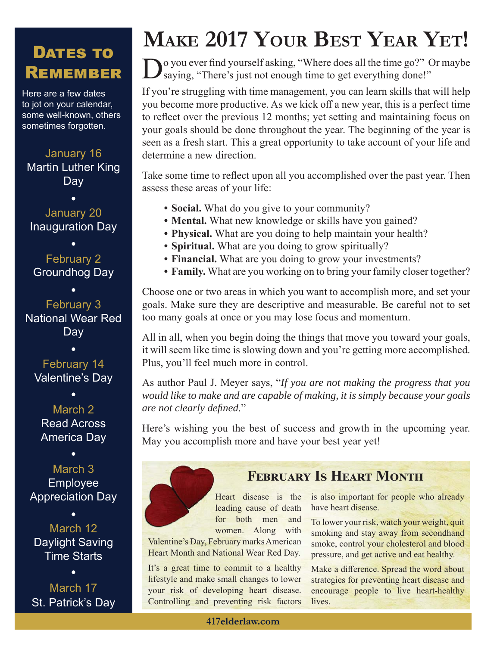### DATES TO REMEMBER

Here are a few dates to jot on your calendar, some well-known, others sometimes forgotten.

January 16 Martin Luther King Day

January 20 Inauguration Day

February 2 Groundhog Day

February 3 National Wear Red **Day** 

February 14 Valentine's Day

March 2 Read Across America Day

March 3 Employee Appreciation Day

March 12 Daylight Saving Time Starts

March 17 St. Patrick's Day

## **MAKE 2017 YOUR BEST YEAR YET!**

 $\sum$  you ever find yourself asking, "Where does all the time go?" Or maybe saying, "There's just not enough time to get everything done!"

If you're struggling with time management, you can learn skills that will help you become more productive. As we kick off a new year, this is a perfect time to reflect over the previous 12 months; yet setting and maintaining focus on your goals should be done throughout the year. The beginning of the year is seen as a fresh start. This a great opportunity to take account of your life and determine a new direction.

Take some time to reflect upon all you accomplished over the past year. Then assess these areas of your life:

- **Social.** What do you give to your community?
- **Mental.** What new knowledge or skills have you gained?
- **Physical.** What are you doing to help maintain your health?
- **Spiritual.** What are you doing to grow spiritually?
- **Financial.** What are you doing to grow your investments?
- **Family.** What are you working on to bring your family closer together?

Choose one or two areas in which you want to accomplish more, and set your goals. Make sure they are descriptive and measurable. Be careful not to set too many goals at once or you may lose focus and momentum.

All in all, when you begin doing the things that move you toward your goals, it will seem like time is slowing down and you're getting more accomplished. Plus, you'll feel much more in control.

As author Paul J. Meyer says, "*If you are not making the progress that you would like to make and are capable of making, it is simply because your goals are not clearly defined.*"

Here's wishing you the best of success and growth in the upcoming year. May you accomplish more and have your best year yet!



### **FEBRUARY IS HEART MONTH**

Heart disease is the leading cause of death for both men and women. Along with

Valentine's Day, February marks American Heart Month and National Wear Red Day.

It's a great time to commit to a healthy lifestyle and make small changes to lower your risk of developing heart disease. Controlling and preventing risk factors is also important for people who already have heart disease.

To lower your risk, watch your weight, quit smoking and stay away from secondhand smoke, control your cholesterol and blood pressure, and get active and eat healthy.

Make a difference. Spread the word about strategies for preventing heart disease and encourage people to live heart-healthy lives.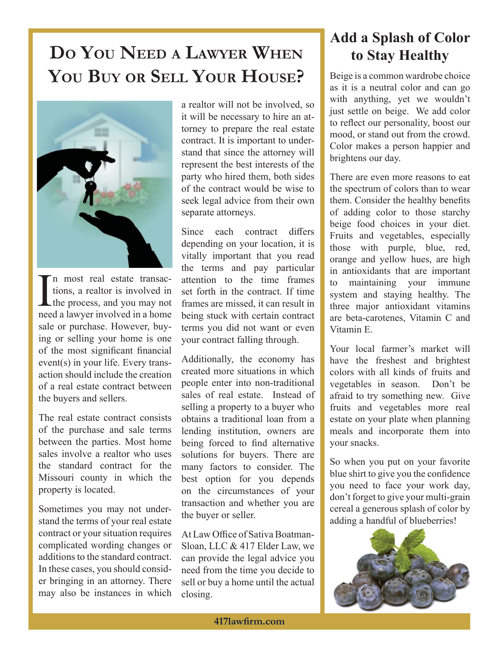## **DO YOU NEED A LAWYER WHEN to Stay Healthy YOU BUY OR SELL YOUR HOUSE?**



I n most real estate transactions, a realtor is involved in the process, and you may not need a lawyer involved in a home sale or purchase. However, buying or selling your home is one of the most significant financial event(s) in your life. Every transaction should include the creation of a real estate contract between the buyers and sellers.

The real estate contract consists of the purchase and sale terms between the parties. Most home sales involve a realtor who uses the standard contract for the Missouri county in which the property is located.

Sometimes you may not understand the terms of your real estate contract or your situation requires complicated wording changes or additions to the standard contract. In these cases, you should consider bringing in an attorney. There may also be instances in which a realtor will not be involved, so it will be necessary to hire an attorney to prepare the real estate contract. It is important to understand that since the attorney will represent the best interests of the party who hired them, both sides of the contract would be wise to seek legal advice from their own separate attorneys.

Since each contract differs depending on your location, it is vitally important that you read the terms and pay particular attention to the time frames set forth in the contract. If time frames are missed, it can result in being stuck with certain contract terms you did not want or even your contract falling through.

Additionally, the economy has created more situations in which people enter into non-traditional sales of real estate. Instead of selling a property to a buyer who obtains a traditional loan from a lending institution, owners are being forced to find alternative solutions for buyers. There are many factors to consider. The best option for you depends on the circumstances of your transaction and whether you are the buyer or seller.

At Law Office of Sativa Boatman-Sloan, LLC & 417 Elder Law, we can provide the legal advice you need from the time you decide to sell or buy a home until the actual closing.

# **Add a Splash of Color**

Beige is a common wardrobe choice as it is a neutral color and can go with anything, yet we wouldn't just settle on beige. We add color to reflect our personality, boost our mood, or stand out from the crowd. Color makes a person happier and brightens our day.

There are even more reasons to eat the spectrum of colors than to wear them. Consider the healthy benefits of adding color to those starchy beige food choices in your diet. Fruits and vegetables, especially those with purple, blue, red, orange and yellow hues, are high in antioxidants that are important to maintaining your immune system and staying healthy. The three major antioxidant vitamins are beta-carotenes, Vitamin C and Vitamin E.

Your local farmer's market will have the freshest and brightest colors with all kinds of fruits and vegetables in season. Don't be afraid to try something new. Give fruits and vegetables more real estate on your plate when planning meals and incorporate them into your snacks.

So when you put on your favorite blue shirt to give you the confidence you need to face your work day, don't forget to give your multi-grain cereal a generous splash of color by adding a handful of blueberries!